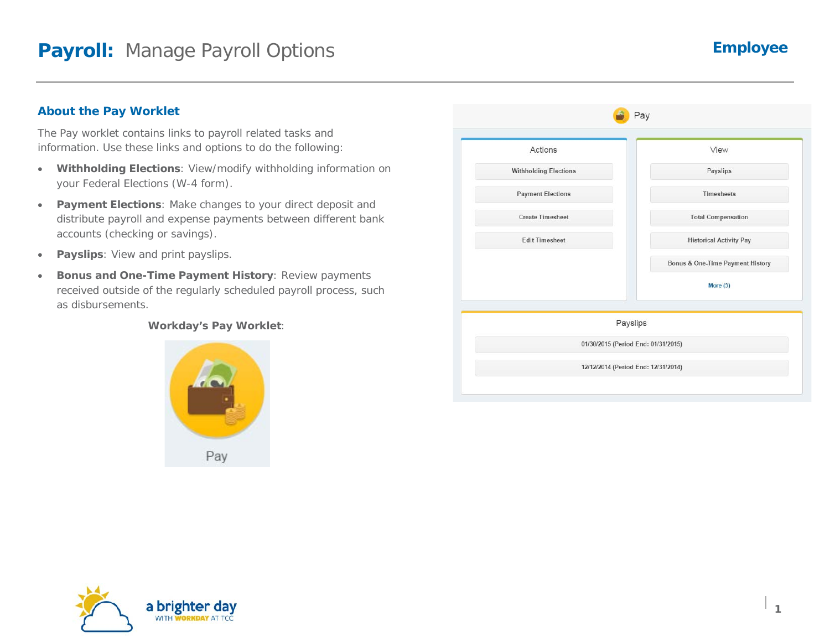### **About the Pay Worklet**

The Pay worklet contains links to payroll related tasks and information. Use these links and options to do the following:

- **Withholding Elections**: View/modify withholding information on your Federal Elections (W-4 form).
- **Payment Elections**: Make changes to your direct deposit and distribute payroll and expense payments between different bank accounts (checking or savings).
- **Payslips**: View and print payslips.
- **Bonus and One-Time Payment History**: Review payments received outside of the regularly scheduled payroll process, such as disbursements.

#### **Workday's Pay Worklet**:



| Actions                      | View                                |
|------------------------------|-------------------------------------|
| <b>Withholding Elections</b> | Payslips                            |
| <b>Payment Elections</b>     | <b>Timesheets</b>                   |
| <b>Create Timesheet</b>      | <b>Total Compensation</b>           |
| <b>Edit Timesheet</b>        | <b>Historical Activity Pay</b>      |
|                              | Bonus & One-Time Payment History    |
|                              | More (3)                            |
|                              | Payslips                            |
|                              | 01/30/2015 (Period End: 01/31/2015) |

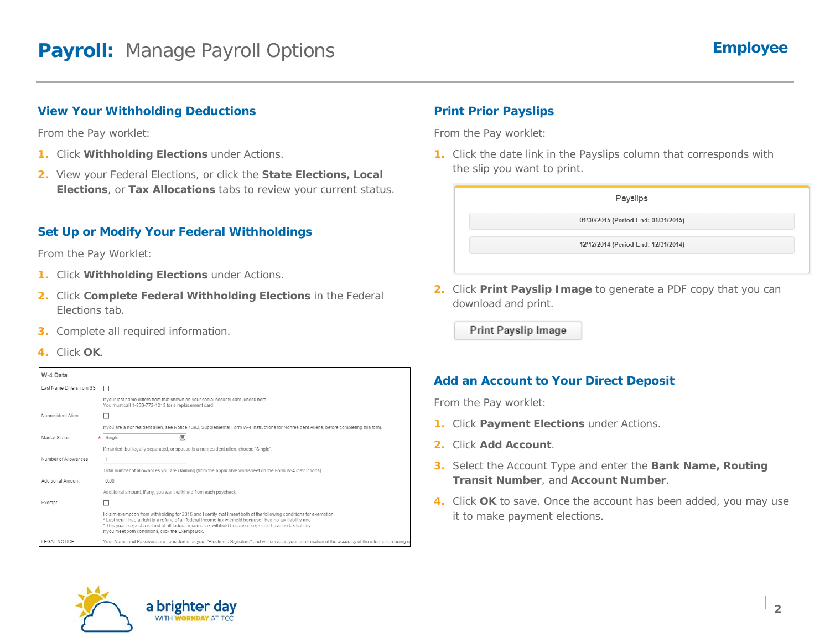#### **View Your Withholding Deductions**

From the Pay worklet:

- **1.** Click **Withholding Elections** under Actions.
- **2.** View your Federal Elections, or click the **State Elections, Local Elections**, or **Tax Allocations** tabs to review your current status.

## **Set Up or Modify Your Federal Withholdings**

From the Pay Worklet:

- **1.** Click **Withholding Elections** under Actions.
- **2.** Click **Complete Federal Withholding Elections** in the Federal Elections tab.
- **3.** Complete all required information.
- **4.** Click **OK**.

| W-4 Data                  |                                                                                                                                                                                                                                                                                                                                                                                                           |
|---------------------------|-----------------------------------------------------------------------------------------------------------------------------------------------------------------------------------------------------------------------------------------------------------------------------------------------------------------------------------------------------------------------------------------------------------|
| Last Name Differs from SS |                                                                                                                                                                                                                                                                                                                                                                                                           |
|                           | If your last name differs from that shown on your social security card, check here.<br>You must call 1-800-772-1213 for a replacement card.                                                                                                                                                                                                                                                               |
| Nonresident Alien         |                                                                                                                                                                                                                                                                                                                                                                                                           |
|                           | If you are a nonresident alien, see Notice 1392, Supplemental Form W-4 Instructions for Nonresident Aliens, before completing this form.                                                                                                                                                                                                                                                                  |
| Marital Status            | €<br>Single                                                                                                                                                                                                                                                                                                                                                                                               |
|                           | If married, but legally separated, or spouse is a nonresident alien, choose "Single".                                                                                                                                                                                                                                                                                                                     |
| Number of Allowances      |                                                                                                                                                                                                                                                                                                                                                                                                           |
|                           | Total number of allowances you are claiming (from the applicable worksheet on the Form W-4 instructions).                                                                                                                                                                                                                                                                                                 |
| Additional Amount         | 0.00                                                                                                                                                                                                                                                                                                                                                                                                      |
|                           | Additional amount, if any, you want withheld from each paycheck                                                                                                                                                                                                                                                                                                                                           |
| Exempt                    |                                                                                                                                                                                                                                                                                                                                                                                                           |
|                           | I claim exemption from withholding for 2015 and I certify that I meet both of the following conditions for exemption.<br>* Last year I had a right to a refund of all federal income tax withheld because I had no tax liability and<br>* This year I expect a refund of all federal income tax withheld because I expect to have no tax liability.<br>If you meet both conditions, click the Exempt Box. |
| <b>LEGAL NOTICE</b>       | Your Name and Password are considered as your "Electronic Signature" and will serve as your confirmation of the accuracy of the information being s                                                                                                                                                                                                                                                       |

# **Print Prior Payslips**

From the Pay worklet:

**1.** Click the date link in the Payslips column that corresponds with the slip you want to print.



**2.** Click **Print Payslip Image** to generate a PDF copy that you can download and print.

Print Payslip Image

#### **Add an Account to Your Direct Deposit**

From the Pay worklet:

- **1.** Click **Payment Elections** under Actions.
- **2.** Click **Add Account**.
- **3.** Select the Account Type and enter the **Bank Name, Routing Transit Number**, and **Account Number**.
- **4.** Click **OK** to save. Once the account has been added, you may use it to make payment elections.